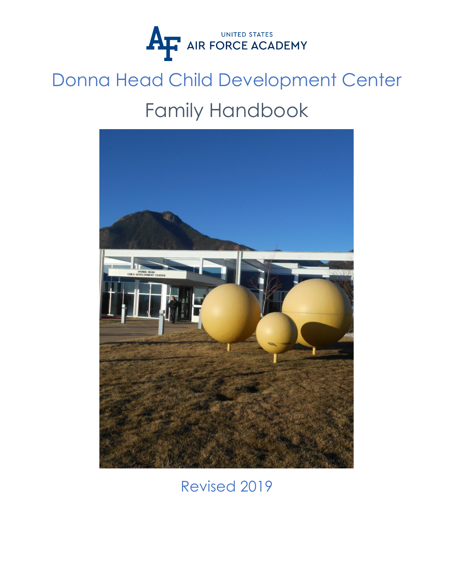

# Donna Head Child Development Center Family Handbook



Revised 2019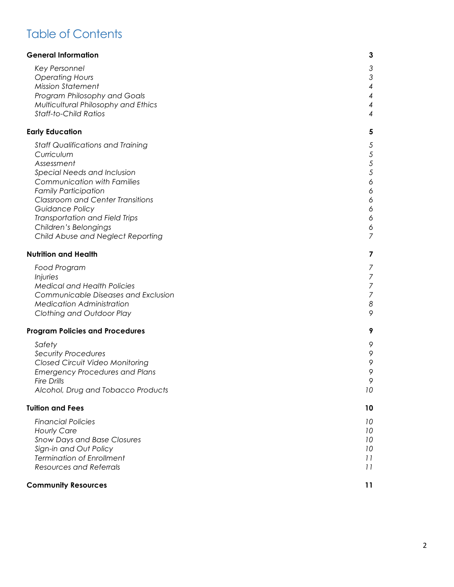## Table of Contents

| <b>General Information</b>                                                       | 3                                          |
|----------------------------------------------------------------------------------|--------------------------------------------|
| Key Personnel                                                                    | 3                                          |
| <b>Operating Hours</b>                                                           | $\mathfrak{Z}$                             |
| <b>Mission Statement</b><br>Program Philosophy and Goals                         | 4<br>4                                     |
| Multicultural Philosophy and Ethics                                              | 4                                          |
| <b>Staff-to-Child Ratios</b>                                                     | 4                                          |
| <b>Early Education</b>                                                           | 5                                          |
| <b>Staff Qualifications and Training</b>                                         | $\overline{5}$                             |
| Curriculum                                                                       | $\sqrt{5}$                                 |
| Assessment                                                                       | $\sqrt{5}$<br>$\sqrt{5}$                   |
| Special Needs and Inclusion<br><b>Communication with Families</b>                | $\acute{\rm{o}}$                           |
| <b>Family Participation</b>                                                      | $\acute{\rm{o}}$                           |
| <b>Classroom and Center Transitions</b>                                          | $\acute{\rm{o}}$                           |
| Guidance Policy                                                                  | $\acute{\rm{o}}$                           |
| Transportation and Field Trips<br>Children's Belongings                          | $\acute{\rm{o}}$<br>6                      |
| Child Abuse and Neglect Reporting                                                | $\overline{7}$                             |
| <b>Nutrition and Health</b>                                                      | 7                                          |
| Food Program                                                                     | 7                                          |
| Injuries                                                                         |                                            |
| <b>Medical and Health Policies</b><br><b>Communicable Diseases and Exclusion</b> | $\begin{array}{c} 7 \\ 7 \\ 7 \end{array}$ |
| <b>Medication Administration</b>                                                 | $\boldsymbol{8}$                           |
| Clothing and Outdoor Play                                                        | 9                                          |
| <b>Program Policies and Procedures</b>                                           | 9                                          |
| Safety                                                                           | 9                                          |
| <b>Security Procedures</b>                                                       | 9                                          |
| Closed Circuit Video Monitoring<br><b>Emergency Procedures and Plans</b>         | 9<br>9                                     |
| <b>Fire Drills</b>                                                               | 9                                          |
| Alcohol, Drug and Tobacco Products                                               | 10                                         |
| <b>Tuition and Fees</b>                                                          | 10                                         |
| <b>Financial Policies</b>                                                        | 10                                         |
| <b>Hourly Care</b>                                                               | 10                                         |
| <b>Snow Days and Base Closures</b><br>Sign-in and Out Policy                     | 10<br>10                                   |
| <b>Termination of Enrollment</b>                                                 | 11                                         |
| <b>Resources and Referrals</b>                                                   | 11                                         |
| <b>Community Resources</b>                                                       | 11                                         |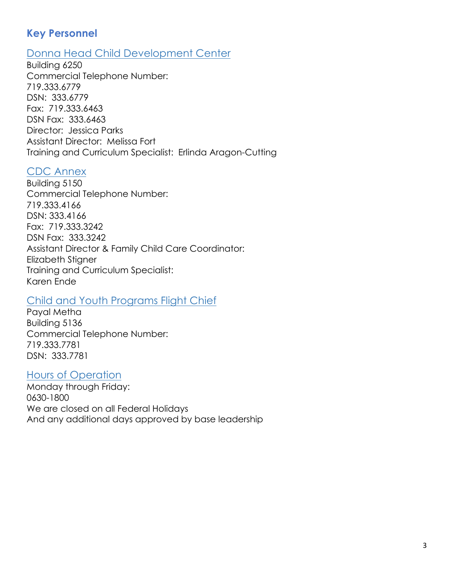## **Key Personnel**

#### Donna Head Child Development Center

Building 6250 Commercial Telephone Number: 719.333.6779 DSN: 333.6779 Fax: 719.333.6463 DSN Fax: 333.6463 Director: Jessica Parks Assistant Director: Melissa Fort Training and Curriculum Specialist: Erlinda Aragon-Cutting

#### CDC Annex

Building 5150 Commercial Telephone Number: 719.333.4166 DSN: 333.4166 Fax: 719.333.3242 DSN Fax: 333.3242 Assistant Director & Family Child Care Coordinator: Elizabeth Stigner Training and Curriculum Specialist: Karen Ende

#### Child and Youth Programs Flight Chief

Payal Metha Building 5136 Commercial Telephone Number: 719.333.7781 DSN: 333.7781

#### Hours of Operation

Monday through Friday: 0630-1800 We are closed on all Federal Holidays And any additional days approved by base leadership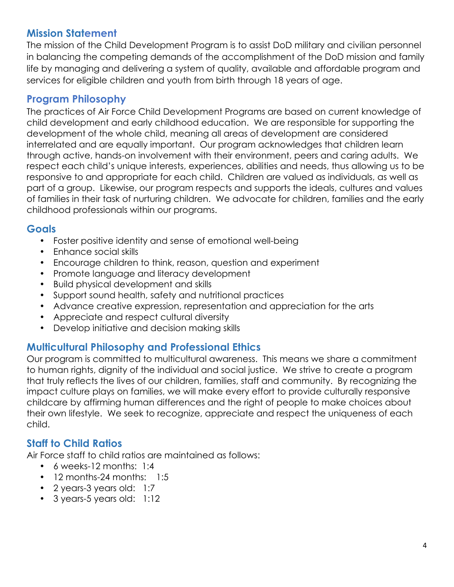## **Mission Statement**

The mission of the Child Development Program is to assist DoD military and civilian personnel in balancing the competing demands of the accomplishment of the DoD mission and family life by managing and delivering a system of quality, available and affordable program and services for eligible children and youth from birth through 18 years of age.

## **Program Philosophy**

The practices of Air Force Child Development Programs are based on current knowledge of child development and early childhood education. We are responsible for supporting the development of the whole child, meaning all areas of development are considered interrelated and are equally important. Our program acknowledges that children learn through active, hands-on involvement with their environment, peers and caring adults. We respect each child's unique interests, experiences, abilities and needs, thus allowing us to be responsive to and appropriate for each child. Children are valued as individuals, as well as part of a group. Likewise, our program respects and supports the ideals, cultures and values of families in their task of nurturing children. We advocate for children, families and the early childhood professionals within our programs.

#### **Goals**

- Foster positive identity and sense of emotional well-being
- Enhance social skills
- Encourage children to think, reason, question and experiment
- Promote language and literacy development
- Build physical development and skills
- Support sound health, safety and nutritional practices
- Advance creative expression, representation and appreciation for the arts
- Appreciate and respect cultural diversity
- Develop initiative and decision making skills

## **Multicultural Philosophy and Professional Ethics**

Our program is committed to multicultural awareness. This means we share a commitment to human rights, dignity of the individual and social justice. We strive to create a program that truly reflects the lives of our children, families, staff and community. By recognizing the impact culture plays on families, we will make every effort to provide culturally responsive childcare by affirming human differences and the right of people to make choices about their own lifestyle. We seek to recognize, appreciate and respect the uniqueness of each child.

## **Staff to Child Ratios**

Air Force staff to child ratios are maintained as follows:

- 6 weeks-12 months: 1:4
- 12 months-24 months: 1:5
- 2 years-3 years old: 1:7
- 3 years-5 years old: 1:12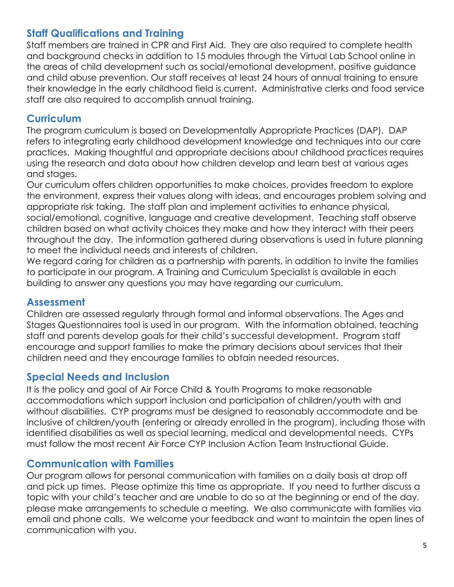#### **Staff Qualifications and Training**

Staff members are trained in CPR and First Aid. They are also required to complete health and background checks in addition to 15 modules through the Virtual Lab School online in the areas of child development such as social/emotional development, positive guidance and child abuse prevention. Our staff receives at least 24 hours of annual training to ensure their knowledge in the early childhood field is current. Administrative clerks and food service staff are also required to accomplish annual training.

#### **Curriculum**

The program curriculum is based on Developmentally Appropriate Practices (DAP). DAP refers to integrating early childhood development knowledge and techniques into our care practices. Making thoughtful and appropriate decisions about childhood practices requires using the research and data about how children develop and learn best at various ages and stages.

Our curriculum offers children opportunities to make choices, provides freedom to explore the environment, express their values along with ideas, and encourages problem solving and appropriate risk taking. The staff plan and implement activities to enhance physical, social/emotional, cognitive, language and creative development. Teaching staff observe children based on what activity choices they make and how they interact with their peers throughout the day. The information gathered during observations is used in future planning to meet the individual needs and interests of children.

We regard caring for children as a partnership with parents, in addition to invite the families to participate in our program. A Training and Curriculum Specialist is available in each building to answer any questions you may have regarding our curriculum.

## **Assessment**

Children are assessed regularly through formal and informal observations. The Ages and Stages Questionnaires tool is used in our program. With the information obtained, teaching staff and parents develop goals for their child's successful development. Program staff encourage and support families to make the primary decisions about services that their children need and they encourage families to obtain needed resources.

## **Special Needs and Inclusion**

It is the policy and goal of Air Force Child & Youth Programs to make reasonable accommodations which support inclusion and participation of children/youth with and without disabilities. CYP programs must be designed to reasonably accommodate and be inclusive of children/youth (entering or already enrolled in the program), including those with identified disabilities as well as special learning, medical and developmental needs. CYPs must follow the most recent Air Force CYP Inclusion Action Team Instructional Guide.

## **Communication with Families**

Our program allows for personal communication with families on a daily basis at drop off and pick up times. Please optimize this time as appropriate. If you need to further discuss a topic with your child's teacher and are unable to do so at the beginning or end of the day, please make arrangements to schedule a meeting. We also communicate with families via email and phone calls. We welcome your feedback and want to maintain the open lines of communication with you.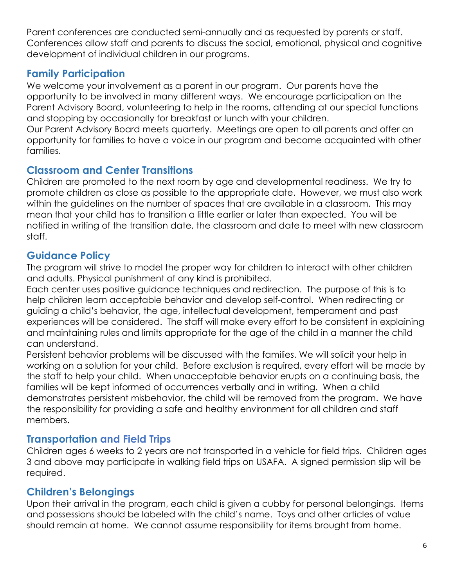Parent conferences are conducted semi-annually and as requested by parents or staff. Conferences allow staff and parents to discuss the social, emotional, physical and cognitive development of individual children in our programs.

## **Family Participation**

We welcome your involvement as a parent in our program. Our parents have the opportunity to be involved in many different ways. We encourage participation on the Parent Advisory Board, volunteering to help in the rooms, attending at our special functions and stopping by occasionally for breakfast or lunch with your children.

Our Parent Advisory Board meets quarterly. Meetings are open to all parents and offer an opportunity for families to have a voice in our program and become acquainted with other families.

#### **Classroom and Center Transitions**

Children are promoted to the next room by age and developmental readiness. We try to promote children as close as possible to the appropriate date. However, we must also work within the guidelines on the number of spaces that are available in a classroom. This may mean that your child has to transition a little earlier or later than expected. You will be notified in writing of the transition date, the classroom and date to meet with new classroom staff.

## **Guidance Policy**

The program will strive to model the proper way for children to interact with other children and adults. Physical punishment of any kind is prohibited.

Each center uses positive guidance techniques and redirection. The purpose of this is to help children learn acceptable behavior and develop self-control. When redirecting or guiding a child's behavior, the age, intellectual development, temperament and past experiences will be considered. The staff will make every effort to be consistent in explaining and maintaining rules and limits appropriate for the age of the child in a manner the child can understand.

Persistent behavior problems will be discussed with the families. We will solicit your help in working on a solution for your child. Before exclusion is required, every effort will be made by the staff to help your child. When unacceptable behavior erupts on a continuing basis, the families will be kept informed of occurrences verbally and in writing. When a child demonstrates persistent misbehavior, the child will be removed from the program. We have the responsibility for providing a safe and healthy environment for all children and staff members.

## **Transportation and Field Trips**

Children ages 6 weeks to 2 years are not transported in a vehicle for field trips. Children ages 3 and above may participate in walking field trips on USAFA. A signed permission slip will be required.

## **Children's Belongings**

Upon their arrival in the program, each child is given a cubby for personal belongings. Items and possessions should be labeled with the child's name. Toys and other articles of value should remain at home. We cannot assume responsibility for items brought from home.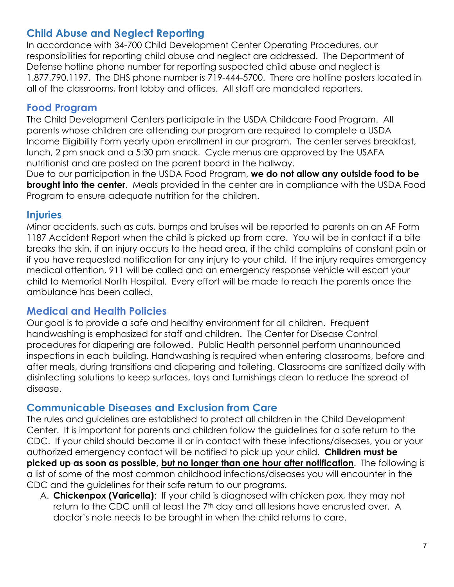## **Child Abuse and Neglect Reporting**

In accordance with 34-700 Child Development Center Operating Procedures, our responsibilities for reporting child abuse and neglect are addressed. The Department of Defense hotline phone number for reporting suspected child abuse and neglect is 1.877.790.1197. The DHS phone number is 719-444-5700. There are hotline posters located in all of the classrooms, front lobby and offices. All staff are mandated reporters.

#### **Food Program**

The Child Development Centers participate in the USDA Childcare Food Program. All parents whose children are attending our program are required to complete a USDA Income Eligibility Form yearly upon enrollment in our program. The center serves breakfast, lunch, 2 pm snack and a 5:30 pm snack. Cycle menus are approved by the USAFA nutritionist and are posted on the parent board in the hallway.

Due to our participation in the USDA Food Program, **we do not allow any outside food to be brought into the center.** Meals provided in the center are in compliance with the USDA Food Program to ensure adequate nutrition for the children.

#### **Injuries**

Minor accidents, such as cuts, bumps and bruises will be reported to parents on an AF Form 1187 Accident Report when the child is picked up from care. You will be in contact if a bite breaks the skin, if an injury occurs to the head area, if the child complains of constant pain or if you have requested notification for any injury to your child. If the injury requires emergency medical attention, 911 will be called and an emergency response vehicle will escort your child to Memorial North Hospital. Every effort will be made to reach the parents once the ambulance has been called.

#### **Medical and Health Policies**

Our goal is to provide a safe and healthy environment for all children. Frequent handwashing is emphasized for staff and children. The Center for Disease Control procedures for diapering are followed. Public Health personnel perform unannounced inspections in each building. Handwashing is required when entering classrooms, before and after meals, during transitions and diapering and toileting. Classrooms are sanitized daily with disinfecting solutions to keep surfaces, toys and furnishings clean to reduce the spread of disease.

#### **Communicable Diseases and Exclusion from Care**

The rules and guidelines are established to protect all children in the Child Development Center. It is important for parents and children follow the guidelines for a safe return to the CDC. If your child should become ill or in contact with these infections/diseases, you or your authorized emergency contact will be notified to pick up your child. **Children must be picked up as soon as possible, but no longer than one hour after notification**. The following is a list of some of the most common childhood infections/diseases you will encounter in the CDC and the guidelines for their safe return to our programs.

A. **Chickenpox (Varicella)**: If your child is diagnosed with chicken pox, they may not return to the CDC until at least the 7<sup>th</sup> day and all lesions have encrusted over. A doctor's note needs to be brought in when the child returns to care.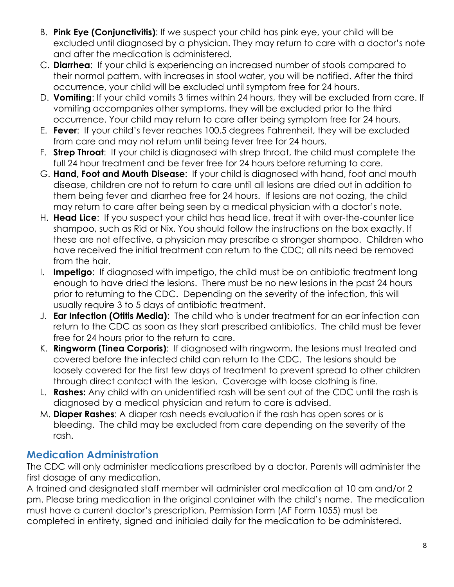- B. **Pink Eye (Conjunctivitis)**: If we suspect your child has pink eye, your child will be excluded until diagnosed by a physician. They may return to care with a doctor's note and after the medication is administered.
- C. **Diarrhea**: If your child is experiencing an increased number of stools compared to their normal pattern, with increases in stool water, you will be notified. After the third occurrence, your child will be excluded until symptom free for 24 hours.
- D. **Vomiting**: If your child vomits 3 times within 24 hours, they will be excluded from care. If vomiting accompanies other symptoms, they will be excluded prior to the third occurrence. Your child may return to care after being symptom free for 24 hours.
- E. **Fever**: If your child's fever reaches 100.5 degrees Fahrenheit, they will be excluded from care and may not return until being fever free for 24 hours.
- F. **Strep Throat**: If your child is diagnosed with strep throat, the child must complete the full 24 hour treatment and be fever free for 24 hours before returning to care.
- G. **Hand, Foot and Mouth Disease**: If your child is diagnosed with hand, foot and mouth disease, children are not to return to care until all lesions are dried out in addition to them being fever and diarrhea free for 24 hours. If lesions are not oozing, the child may return to care after being seen by a medical physician with a doctor's note.
- H. **Head Lice**: If you suspect your child has head lice, treat it with over-the-counter lice shampoo, such as Rid or Nix. You should follow the instructions on the box exactly. If these are not effective, a physician may prescribe a stronger shampoo. Children who have received the initial treatment can return to the CDC; all nits need be removed from the hair.
- I. **Impetigo**: If diagnosed with impetigo, the child must be on antibiotic treatment long enough to have dried the lesions. There must be no new lesions in the past 24 hours prior to returning to the CDC. Depending on the severity of the infection, this will usually require 3 to 5 days of antibiotic treatment.
- J. **Ear Infection (Otitis Media)**: The child who is under treatment for an ear infection can return to the CDC as soon as they start prescribed antibiotics. The child must be fever free for 24 hours prior to the return to care.
- K. **Ringworm (Tinea Corporis)**: If diagnosed with ringworm, the lesions must treated and covered before the infected child can return to the CDC. The lesions should be loosely covered for the first few days of treatment to prevent spread to other children through direct contact with the lesion. Coverage with loose clothing is fine.
- L. **Rashes:** Any child with an unidentified rash will be sent out of the CDC until the rash is diagnosed by a medical physician and return to care is advised.
- M. **Diaper Rashes**: A diaper rash needs evaluation if the rash has open sores or is bleeding. The child may be excluded from care depending on the severity of the rash.

## **Medication Administration**

The CDC will only administer medications prescribed by a doctor. Parents will administer the first dosage of any medication.

A trained and designated staff member will administer oral medication at 10 am and/or 2 pm. Please bring medication in the original container with the child's name. The medication must have a current doctor's prescription. Permission form (AF Form 1055) must be completed in entirety, signed and initialed daily for the medication to be administered.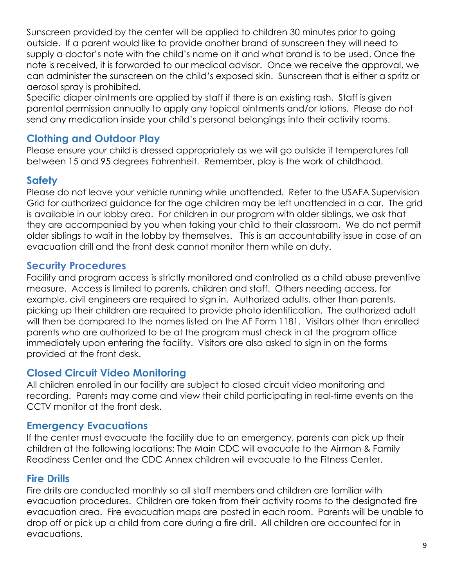Sunscreen provided by the center will be applied to children 30 minutes prior to going outside. If a parent would like to provide another brand of sunscreen they will need to supply a doctor's note with the child's name on it and what brand is to be used. Once the note is received, it is forwarded to our medical advisor. Once we receive the approval, we can administer the sunscreen on the child's exposed skin. Sunscreen that is either a spritz or aerosol spray is prohibited.

Specific diaper ointments are applied by staff if there is an existing rash. Staff is given parental permission annually to apply any topical ointments and/or lotions. Please do not send any medication inside your child's personal belongings into their activity rooms.

## **Clothing and Outdoor Play**

Please ensure your child is dressed appropriately as we will go outside if temperatures fall between 15 and 95 degrees Fahrenheit. Remember, play is the work of childhood.

#### **Safety**

Please do not leave your vehicle running while unattended. Refer to the USAFA Supervision Grid for authorized guidance for the age children may be left unattended in a car. The grid is available in our lobby area. For children in our program with older siblings, we ask that they are accompanied by you when taking your child to their classroom. We do not permit older siblings to wait in the lobby by themselves. This is an accountability issue in case of an evacuation drill and the front desk cannot monitor them while on duty.

#### **Security Procedures**

Facility and program access is strictly monitored and controlled as a child abuse preventive measure. Access is limited to parents, children and staff. Others needing access, for example, civil engineers are required to sign in. Authorized adults, other than parents, picking up their children are required to provide photo identification. The authorized adult will then be compared to the names listed on the AF Form 1181. Visitors other than enrolled parents who are authorized to be at the program must check in at the program office immediately upon entering the facility. Visitors are also asked to sign in on the forms provided at the front desk.

#### **Closed Circuit Video Monitoring**

All children enrolled in our facility are subject to closed circuit video monitoring and recording. Parents may come and view their child participating in real-time events on the CCTV monitor at the front desk.

#### **Emergency Evacuations**

If the center must evacuate the facility due to an emergency, parents can pick up their children at the following locations: The Main CDC will evacuate to the Airman & Family Readiness Center and the CDC Annex children will evacuate to the Fitness Center.

#### **Fire Drills**

Fire drills are conducted monthly so all staff members and children are familiar with evacuation procedures. Children are taken from their activity rooms to the designated fire evacuation area. Fire evacuation maps are posted in each room. Parents will be unable to drop off or pick up a child from care during a fire drill. All children are accounted for in evacuations.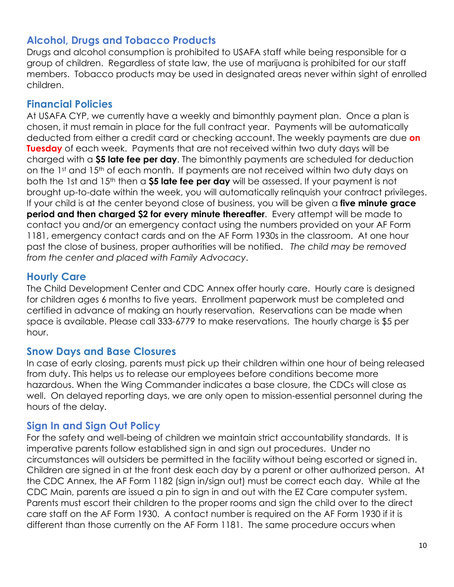## **Alcohol, Drugs and Tobacco Products**

Drugs and alcohol consumption is prohibited to USAFA staff while being responsible for a group of children. Regardless of state law, the use of marijuana is prohibited for our staff members. Tobacco products may be used in designated areas never within sight of enrolled children.

#### **Financial Policies**

At USAFA CYP, we currently have a weekly and bimonthly payment plan. Once a plan is chosen, it must remain in place for the full contract year. Payments will be automatically deducted from either a credit card or checking account. The weekly payments are due **on Tuesday** of each week. Payments that are not received within two duty days will be charged with a **\$5 late fee per day**. The bimonthly payments are scheduled for deduction on the 1<sup>st</sup> and 15<sup>th</sup> of each month. If payments are not received within two duty days on both the 1st and 15th then a **\$5 late fee per day** will be assessed. If your payment is not brought up-to-date within the week, you will automatically relinquish your contract privileges. If your child is at the center beyond close of business, you will be given a **five minute grace period and then charged \$2 for every minute thereafter**. Every attempt will be made to contact you and/or an emergency contact using the numbers provided on your AF Form 1181, emergency contact cards and on the AF Form 1930s in the classroom. At one hour past the close of business, proper authorities will be notified. *The child may be removed from the center and placed with Family Advocacy*.

## **Hourly Care**

The Child Development Center and CDC Annex offer hourly care. Hourly care is designed for children ages 6 months to five years. Enrollment paperwork must be completed and certified in advance of making an hourly reservation. Reservations can be made when space is available. Please call 333-6779 to make reservations. The hourly charge is \$5 per hour.

#### **Snow Days and Base Closures**

In case of early closing, parents must pick up their children within one hour of being released from duty. This helps us to release our employees before conditions become more hazardous. When the Wing Commander indicates a base closure, the CDCs will close as well. On delayed reporting days, we are only open to mission-essential personnel during the hours of the delay.

#### **Sign In and Sign Out Policy**

For the safety and well-being of children we maintain strict accountability standards. It is imperative parents follow established sign in and sign out procedures. Under no circumstances will outsiders be permitted in the facility without being escorted or signed in. Children are signed in at the front desk each day by a parent or other authorized person. At the CDC Annex, the AF Form 1182 (sign in/sign out) must be correct each day. While at the CDC Main, parents are issued a pin to sign in and out with the EZ Care computer system. Parents must escort their children to the proper rooms and sign the child over to the direct care staff on the AF Form 1930. A contact number is required on the AF Form 1930 if it is different than those currently on the AF Form 1181. The same procedure occurs when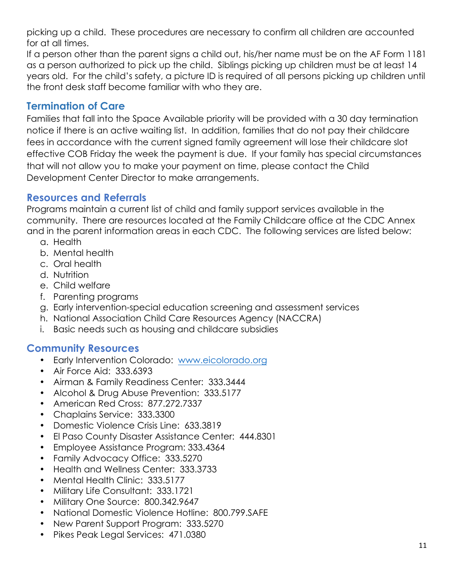picking up a child. These procedures are necessary to confirm all children are accounted for at all times.

If a person other than the parent signs a child out, his/her name must be on the AF Form 1181 as a person authorized to pick up the child. Siblings picking up children must be at least 14 years old. For the child's safety, a picture ID is required of all persons picking up children until the front desk staff become familiar with who they are.

## **Termination of Care**

Families that fall into the Space Available priority will be provided with a 30 day termination notice if there is an active waiting list. In addition, families that do not pay their childcare fees in accordance with the current signed family agreement will lose their childcare slot effective COB Friday the week the payment is due. If your family has special circumstances that will not allow you to make your payment on time, please contact the Child Development Center Director to make arrangements.

#### **Resources and Referrals**

Programs maintain a current list of child and family support services available in the community. There are resources located at the Family Childcare office at the CDC Annex and in the parent information areas in each CDC. The following services are listed below:

- a. Health
- b. Mental health
- c. Oral health
- d. Nutrition
- e. Child welfare
- f. Parenting programs
- g. Early intervention-special education screening and assessment services
- h. National Association Child Care Resources Agency (NACCRA)
- i. Basic needs such as housing and childcare subsidies

#### **Community Resources**

- Early Intervention Colorado: www.eicolorado.org
- Air Force Aid: 333.6393
- Airman & Family Readiness Center: 333.3444
- Alcohol & Drug Abuse Prevention: 333.5177
- American Red Cross: 877.272.7337
- Chaplains Service: 333.3300
- Domestic Violence Crisis Line: 633.3819
- El Paso County Disaster Assistance Center: 444.8301
- Employee Assistance Program: 333.4364
- Family Advocacy Office: 333.5270
- Health and Wellness Center: 333.3733
- Mental Health Clinic: 333.5177
- Military Life Consultant: 333.1721
- Military One Source: 800.342.9647
- National Domestic Violence Hotline: 800.799.SAFE
- New Parent Support Program: 333.5270
- Pikes Peak Legal Services: 471.0380